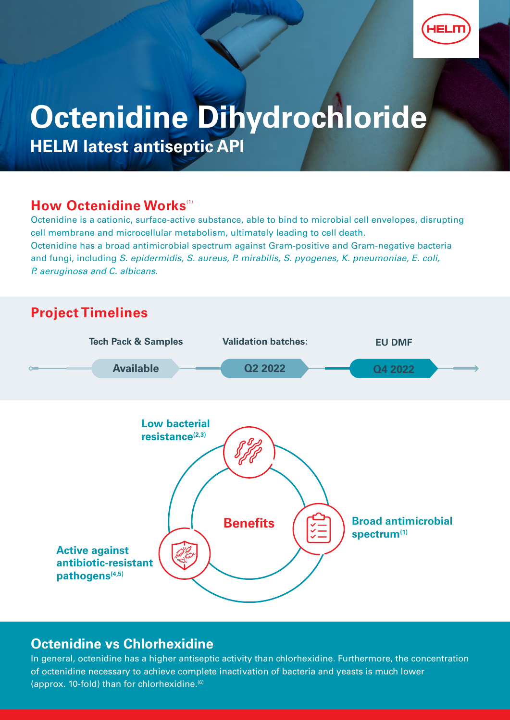

# **Octenidine Dihydrochloride HELM latest antiseptic API**

#### **How Octenidine Works**<sup>(1)</sup>

Octenidine is a cationic, surface-active substance, able to bind to microbial cell envelopes, disrupting cell membrane and microcellular metabolism, ultimately leading to cell death. Octenidine has a broad antimicrobial spectrum against Gram-positive and Gram-negative bacteria and fungi, including S. epidermidis, S. aureus, P. mirabilis, S. pyogenes, K. pneumoniae, E. coli, P. aeruginosa and C. albicans.



#### **Octenidine vs Chlorhexidine**

In general, octenidine has a higher antiseptic activity than chlorhexidine. Furthermore, the concentration of octenidine necessary to achieve complete inactivation of bacteria and yeasts is much lower (approx. 10-fold) than for chlorhexidine. $(6)$